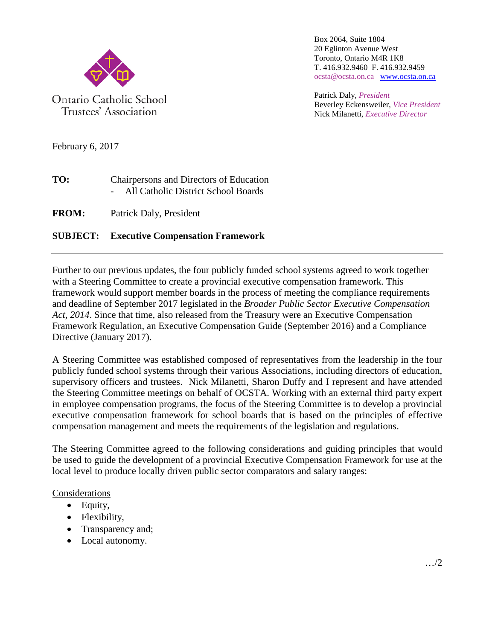

Box 2064, Suite 1804 20 Eglinton Avenue West Toronto, Ontario M4R 1K8 T. 416.932.9460 F. 416.932.9459 ocsta@ocsta.on.ca [www.ocsta.on.ca](http://www.ocsta.on.ca/)

Patrick Daly, *President* Beverley Eckensweiler, *Vice President* Nick Milanetti, *Executive Director*

February 6, 2017

| TO: | Chairpersons and Directors of Education |
|-----|-----------------------------------------|
|     | All Catholic District School Boards     |

**FROM:** Patrick Daly, President

## **SUBJECT: Executive Compensation Framework**

Further to our previous updates, the four publicly funded school systems agreed to work together with a Steering Committee to create a provincial executive compensation framework. This framework would support member boards in the process of meeting the compliance requirements and deadline of September 2017 legislated in the *Broader Public Sector Executive Compensation Act, 2014*. Since that time, also released from the Treasury were an Executive Compensation Framework Regulation, an Executive Compensation Guide (September 2016) and a Compliance Directive (January 2017).

A Steering Committee was established composed of representatives from the leadership in the four publicly funded school systems through their various Associations, including directors of education, supervisory officers and trustees. Nick Milanetti, Sharon Duffy and I represent and have attended the Steering Committee meetings on behalf of OCSTA. Working with an external third party expert in employee compensation programs, the focus of the Steering Committee is to develop a provincial executive compensation framework for school boards that is based on the principles of effective compensation management and meets the requirements of the legislation and regulations.

The Steering Committee agreed to the following considerations and guiding principles that would be used to guide the development of a provincial Executive Compensation Framework for use at the local level to produce locally driven public sector comparators and salary ranges:

## Considerations

- Equity,
- Flexibility,
- Transparency and;
- Local autonomy.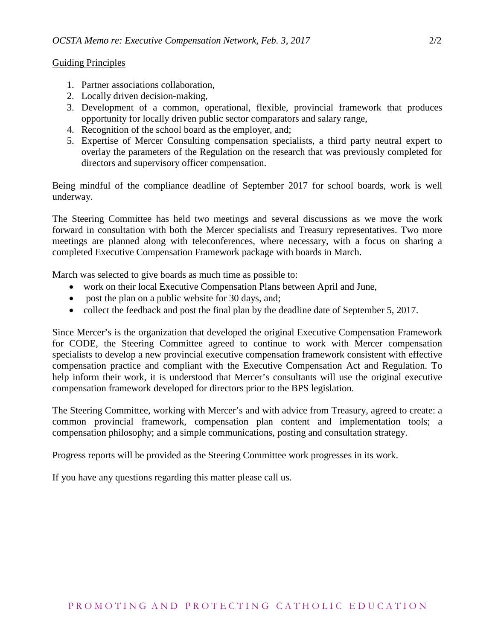Guiding Principles

- 1. Partner associations collaboration,
- 2. Locally driven decision-making,
- 3. Development of a common, operational, flexible, provincial framework that produces opportunity for locally driven public sector comparators and salary range,
- 4. Recognition of the school board as the employer, and;
- 5. Expertise of Mercer Consulting compensation specialists, a third party neutral expert to overlay the parameters of the Regulation on the research that was previously completed for directors and supervisory officer compensation.

Being mindful of the compliance deadline of September 2017 for school boards, work is well underway.

The Steering Committee has held two meetings and several discussions as we move the work forward in consultation with both the Mercer specialists and Treasury representatives. Two more meetings are planned along with teleconferences, where necessary, with a focus on sharing a completed Executive Compensation Framework package with boards in March.

March was selected to give boards as much time as possible to:

- work on their local Executive Compensation Plans between April and June,
- post the plan on a public website for 30 days, and;
- collect the feedback and post the final plan by the deadline date of September 5, 2017.

Since Mercer's is the organization that developed the original Executive Compensation Framework for CODE, the Steering Committee agreed to continue to work with Mercer compensation specialists to develop a new provincial executive compensation framework consistent with effective compensation practice and compliant with the Executive Compensation Act and Regulation. To help inform their work, it is understood that Mercer's consultants will use the original executive compensation framework developed for directors prior to the BPS legislation.

The Steering Committee, working with Mercer's and with advice from Treasury, agreed to create: a common provincial framework, compensation plan content and implementation tools; a compensation philosophy; and a simple communications, posting and consultation strategy.

Progress reports will be provided as the Steering Committee work progresses in its work.

If you have any questions regarding this matter please call us.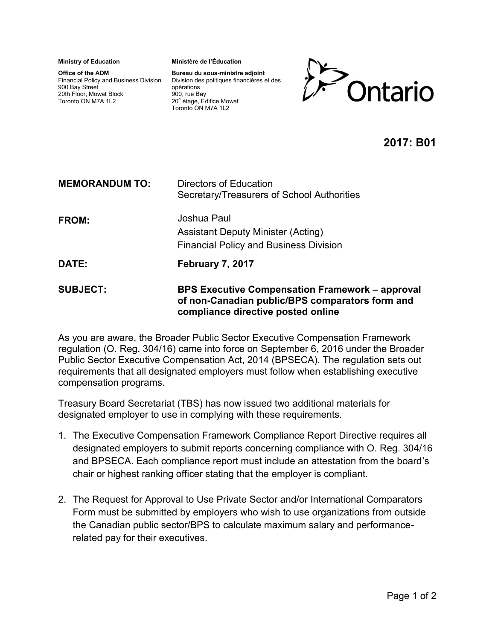**Ministry of Education** 

**Office of the ADM**  Financial Policy and Business Division 900 Bay Street 20th Floor, Mowat Block Toronto ON M7A 1L2

**Ministère de l'Éducation** 

**Bureau du sous-ministre adjoint**  Division des politiques financières et des opérations 900, rue Bay 20<sup>e</sup> étage, Édifice Mowat Toronto ON M7A 1L2



## **2017: B01**

| <b>MEMORANDUM TO:</b> | Directors of Education<br>Secretary/Treasurers of School Authorities                                                                            |
|-----------------------|-------------------------------------------------------------------------------------------------------------------------------------------------|
| <b>FROM:</b>          | Joshua Paul<br><b>Assistant Deputy Minister (Acting)</b><br><b>Financial Policy and Business Division</b>                                       |
| DATE:                 | February 7, 2017                                                                                                                                |
| <b>SUBJECT:</b>       | <b>BPS Executive Compensation Framework – approval</b><br>of non-Canadian public/BPS comparators form and<br>compliance directive posted online |

As you are aware, the Broader Public Sector Executive Compensation Framework regulation (O. Reg. 304/16) came into force on September 6, 2016 under the Broader Public Sector Executive Compensation Act, 2014 (BPSECA). The regulation sets out requirements that all designated employers must follow when establishing executive compensation programs.

Treasury Board Secretariat (TBS) has now issued two additional materials for designated employer to use in complying with these requirements.

- 1. The Executive Compensation Framework Compliance Report Directive requires all designated employers to submit reports concerning compliance with O. Reg. 304/16 and BPSECA. Each compliance report must include an attestation from the board's chair or highest ranking officer stating that the employer is compliant.
- 2. The Request for Approval to Use Private Sector and/or International Comparators Form must be submitted by employers who wish to use organizations from outside the Canadian public sector/BPS to calculate maximum salary and performancerelated pay for their executives.